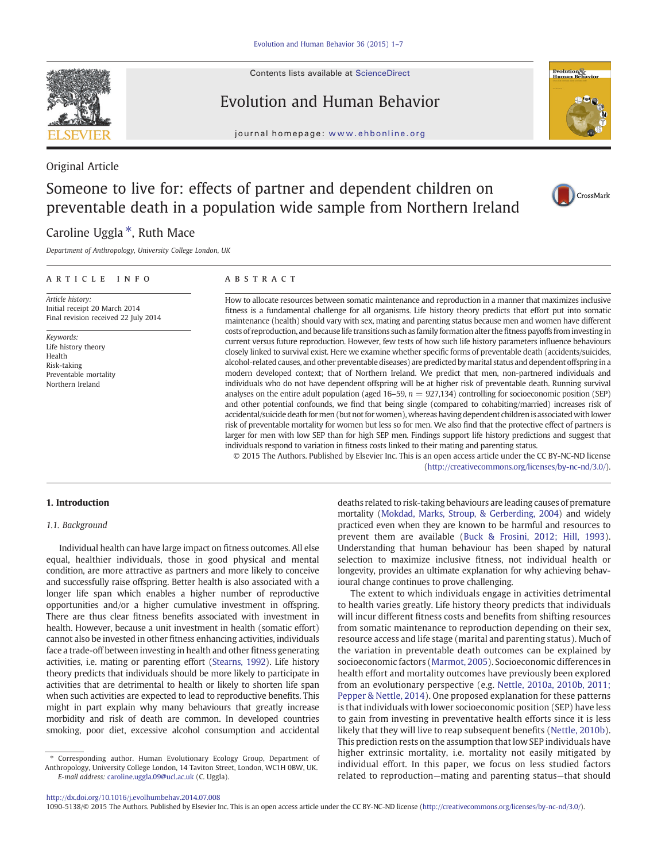Contents lists available at ScienceDirect

# Evolution and Human Behavior

journal homepage: www.ehbonline.org

# Original Article

# Someone to live for: effects of partner and dependent children on preventable death in a population wide sample from Northern Ireland

# Caroline Uggla $*$ , Ruth Mace

Department of Anthropology, University College London, UK

# article info abstract

Article history: Initial receipt 20 March 2014 Final revision received 22 July 2014

Keywords: Life history theory Health Risk-taking Preventable mortality Northern Ireland

How to allocate resources between somatic maintenance and reproduction in a manner that maximizes inclusive fitness is a fundamental challenge for all organisms. Life history theory predicts that effort put into somatic maintenance (health) should vary with sex, mating and parenting status because men and women have different costs of reproduction, and because life transitions such as family formation alter thefitness payoffs from investing in current versus future reproduction. However, few tests of how such life history parameters influence behaviours closely linked to survival exist. Here we examine whether specific forms of preventable death (accidents/suicides, alcohol-related causes, and other preventable diseases) are predicted bymarital status and dependent offspring in a modern developed context; that of Northern Ireland. We predict that men, non-partnered individuals and individuals who do not have dependent offspring will be at higher risk of preventable death. Running survival analyses on the entire adult population (aged 16–59,  $n = 927,134$ ) controlling for socioeconomic position (SEP) and other potential confounds, we find that being single (compared to cohabiting/married) increases risk of accidental/suicide death formen (but not for women), whereas having dependent childrenis associated with lower risk of preventable mortality for women but less so for men. We also find that the protective effect of partners is larger for men with low SEP than for high SEP men. Findings support life history predictions and suggest that individuals respond to variation in fitness costs linked to their mating and parenting status.

© 2015 The Authors. Published by Elsevier Inc. This is an open access article under the CC BY-NC-ND license (http://creativecommons.org/licenses/by-nc-nd/3.0/).

ioural change continues to prove challenging.

deaths related to risk-taking behaviours are leading causes of premature mortality ([Mokdad, Marks, Stroup, & Gerberding, 2004\)](#page-6-0) and widely practiced even when they are known to be harmful and resources to prevent them are available [\(Buck & Frosini, 2012; Hill, 1993](#page-6-0)). Understanding that human behaviour has been shaped by natural selection to maximize inclusive fitness, not individual health or longevity, provides an ultimate explanation for why achieving behav-

The extent to which individuals engage in activities detrimental to health varies greatly. Life history theory predicts that individuals will incur different fitness costs and benefits from shifting resources from somatic maintenance to reproduction depending on their sex, resource access and life stage (marital and parenting status). Much of the variation in preventable death outcomes can be explained by socioeconomic factors ([Marmot, 2005](#page-6-0)). Socioeconomic differences in health effort and mortality outcomes have previously been explored from an evolutionary perspective (e.g. [Nettle, 2010a, 2010b, 2011;](#page-6-0) [Pepper & Nettle, 2014\)](#page-6-0). One proposed explanation for these patterns is that individuals with lower socioeconomic position (SEP) have less to gain from investing in preventative health efforts since it is less likely that they will live to reap subsequent benefits [\(Nettle, 2010b](#page-6-0)). This prediction rests on the assumption that low SEP individuals have higher extrinsic mortality, i.e. mortality not easily mitigated by individual effort. In this paper, we focus on less studied factors related to reproduction—mating and parenting status—that should

# 1. Introduction

# 1.1. Background

Individual health can have large impact on fitness outcomes. All else equal, healthier individuals, those in good physical and mental condition, are more attractive as partners and more likely to conceive and successfully raise offspring. Better health is also associated with a longer life span which enables a higher number of reproductive opportunities and/or a higher cumulative investment in offspring. There are thus clear fitness benefits associated with investment in health. However, because a unit investment in health (somatic effort) cannot also be invested in other fitness enhancing activities, individuals face a trade-off between investing in health and other fitness generating activities, i.e. mating or parenting effort [\(Stearns, 1992](#page-6-0)). Life history theory predicts that individuals should be more likely to participate in activities that are detrimental to health or likely to shorten life span when such activities are expected to lead to reproductive benefits. This might in part explain why many behaviours that greatly increase morbidity and risk of death are common. In developed countries smoking, poor diet, excessive alcohol consumption and accidental

⁎ Corresponding author. Human Evolutionary Ecology Group, Department of Anthropology, University College London, 14 Taviton Street, London, WC1H 0BW, UK. E-mail address: [caroline.uggla.09@ucl.ac.uk](mailto:caroline.uggla.09@ucl.ac.uk) (C. Uggla).

<http://dx.doi.org/10.1016/j.evolhumbehav.2014.07.008>

1090-5138/© 2015 The Authors. Published by Elsevier Inc. This is an open access article under the CC BY-NC-ND license (http://creativecommons.org/licenses/by-nc-nd/3.0/).





CrossMark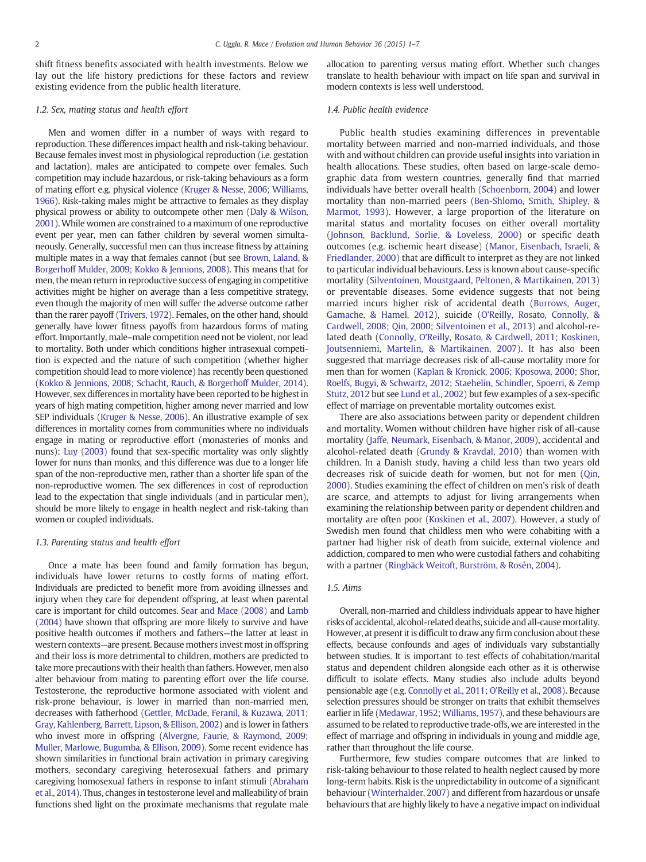shift fitness benefits associated with health investments. Below we lay out the life history predictions for these factors and review existing evidence from the public health literature.

# 1.2. Sex, mating status and health effort

Men and women differ in a number of ways with regard to reproduction. These differences impact health and risk-taking behaviour. Because females invest most in physiological reproduction (i.e. gestation and lactation), males are anticipated to compete over females. Such competition may include hazardous, or risk-taking behaviours as a form of mating effort e.g. physical violence ([Kruger & Nesse, 2006; Williams,](#page-6-0) [1966](#page-6-0)). Risk-taking males might be attractive to females as they display physical prowess or ability to outcompete other men [\(Daly & Wilson,](#page-6-0) [2001](#page-6-0)). While women are constrained to a maximum of one reproductive event per year, men can father children by several women simultaneously. Generally, successful men can thus increase fitness by attaining multiple mates in a way that females cannot (but see [Brown, Laland, &](#page-6-0) [Borgerhoff Mulder, 2009; Kokko & Jennions, 2008\)](#page-6-0). This means that for men, the mean return in reproductive success of engaging in competitive activities might be higher on average than a less competitive strategy, even though the majority of men will suffer the adverse outcome rather than the rarer payoff ([Trivers, 1972\)](#page-6-0). Females, on the other hand, should generally have lower fitness payoffs from hazardous forms of mating effort. Importantly, male–male competition need not be violent, nor lead to mortality. Both under which conditions higher intrasexual competition is expected and the nature of such competition (whether higher competition should lead to more violence) has recently been questioned ([Kokko & Jennions, 2008; Schacht, Rauch, & Borgerhoff Mulder, 2014](#page-6-0)). However, sex differences in mortality have been reported to be highest in years of high mating competition, higher among never married and low SEP individuals [\(Kruger & Nesse, 2006](#page-6-0)). An illustrative example of sex differences in mortality comes from communities where no individuals engage in mating or reproductive effort (monasteries of monks and nuns): [Luy \(2003\)](#page-6-0) found that sex-specific mortality was only slightly lower for nuns than monks, and this difference was due to a longer life span of the non-reproductive men, rather than a shorter life span of the non-reproductive women. The sex differences in cost of reproduction lead to the expectation that single individuals (and in particular men), should be more likely to engage in health neglect and risk-taking than women or coupled individuals.

# 1.3. Parenting status and health effort

Once a mate has been found and family formation has begun, individuals have lower returns to costly forms of mating effort. Individuals are predicted to benefit more from avoiding illnesses and injury when they care for dependent offspring, at least when parental care is important for child outcomes. [Sear and Mace \(2008\)](#page-6-0) and [Lamb](#page-6-0) [\(2004\)](#page-6-0) have shown that offspring are more likely to survive and have positive health outcomes if mothers and fathers—the latter at least in western contexts—are present. Because mothers invest most in offspring and their loss is more detrimental to children, mothers are predicted to take more precautions with their health than fathers. However, men also alter behaviour from mating to parenting effort over the life course. Testosterone, the reproductive hormone associated with violent and risk-prone behaviour, is lower in married than non-married men, decreases with fatherhood ([Gettler, McDade, Feranil, & Kuzawa, 2011;](#page-6-0) [Gray, Kahlenberg, Barrett, Lipson, & Ellison, 2002](#page-6-0)) and is lower in fathers who invest more in offspring ([Alvergne, Faurie, & Raymond, 2009;](#page-6-0) [Muller, Marlowe, Bugumba, & Ellison, 2009\)](#page-6-0). Some recent evidence has shown similarities in functional brain activation in primary caregiving mothers, secondary caregiving heterosexual fathers and primary caregiving homosexual fathers in response to infant stimuli [\(Abraham](#page-5-0) [et al., 2014\)](#page-5-0). Thus, changes in testosterone level and malleability of brain functions shed light on the proximate mechanisms that regulate male allocation to parenting versus mating effort. Whether such changes translate to health behaviour with impact on life span and survival in modern contexts is less well understood.

# 1.4. Public health evidence

Public health studies examining differences in preventable mortality between married and non-married individuals, and those with and without children can provide useful insights into variation in health allocations. These studies, often based on large-scale demographic data from western countries, generally find that married individuals have better overall health [\(Schoenborn, 2004\)](#page-6-0) and lower mortality than non-married peers [\(Ben-Shlomo, Smith, Shipley, &](#page-6-0) [Marmot, 1993\)](#page-6-0). However, a large proportion of the literature on marital status and mortality focuses on either overall mortality ([Johnson, Backlund, Sorlie, & Loveless, 2000](#page-6-0)) or specific death outcomes (e.g. ischemic heart disease) ([Manor, Eisenbach, Israeli, &](#page-6-0) [Friedlander, 2000](#page-6-0)) that are difficult to interpret as they are not linked to particular individual behaviours. Less is known about cause-specific mortality [\(Silventoinen, Moustgaard, Peltonen, & Martikainen, 2013\)](#page-6-0) or preventable diseases. Some evidence suggests that not being married incurs higher risk of accidental death ([Burrows, Auger,](#page-6-0) [Gamache, & Hamel, 2012\)](#page-6-0), suicide (O'[Reilly, Rosato, Connolly, &](#page-6-0) [Cardwell, 2008; Qin, 2000; Silventoinen et al., 2013](#page-6-0)) and alcohol-related death (Connolly, O'[Reilly, Rosato, & Cardwell, 2011; Koskinen,](#page-6-0) [Joutsenniemi, Martelin, & Martikainen, 2007](#page-6-0)). It has also been suggested that marriage decreases risk of all-cause mortality more for men than for women [\(Kaplan & Kronick, 2006; Kposowa, 2000; Shor,](#page-6-0) [Roelfs, Bugyi, & Schwartz, 2012; Staehelin, Schindler, Spoerri, & Zemp](#page-6-0) [Stutz, 2012](#page-6-0) but see [Lund et al., 2002](#page-6-0)) but few examples of a sex-specific effect of marriage on preventable mortality outcomes exist.

There are also associations between parity or dependent children and mortality. Women without children have higher risk of all-cause mortality ([Jaffe, Neumark, Eisenbach, & Manor, 2009](#page-6-0)), accidental and alcohol-related death [\(Grundy & Kravdal, 2010](#page-6-0)) than women with children. In a Danish study, having a child less than two years old decreases risk of suicide death for women, but not for men ([Qin,](#page-6-0) [2000\)](#page-6-0). Studies examining the effect of children on men's risk of death are scarce, and attempts to adjust for living arrangements when examining the relationship between parity or dependent children and mortality are often poor [\(Koskinen et al., 2007](#page-6-0)). However, a study of Swedish men found that childless men who were cohabiting with a partner had higher risk of death from suicide, external violence and addiction, compared to men who were custodial fathers and cohabiting with a partner [\(Ringbäck Weitoft, Burström, & Rosén, 2004](#page-6-0)).

#### 1.5. Aims

Overall, non-married and childless individuals appear to have higher risks of accidental, alcohol-related deaths, suicide and all-cause mortality. However, at present it is difficult to draw any firm conclusion about these effects, because confounds and ages of individuals vary substantially between studies. It is important to test effects of cohabitation/marital status and dependent children alongside each other as it is otherwise difficult to isolate effects. Many studies also include adults beyond pensionable age (e.g. [Connolly et al., 2011; O](#page-6-0)'Reilly et al., 2008). Because selection pressures should be stronger on traits that exhibit themselves earlier in life [\(Medawar, 1952; Williams, 1957\)](#page-6-0), and these behaviours are assumed to be related to reproductive trade-offs, we are interested in the effect of marriage and offspring in individuals in young and middle age, rather than throughout the life course.

Furthermore, few studies compare outcomes that are linked to risk-taking behaviour to those related to health neglect caused by more long-term habits. Risk is the unpredictability in outcome of a significant behaviour [\(Winterhalder, 2007](#page-6-0)) and different from hazardous or unsafe behaviours that are highly likely to have a negative impact on individual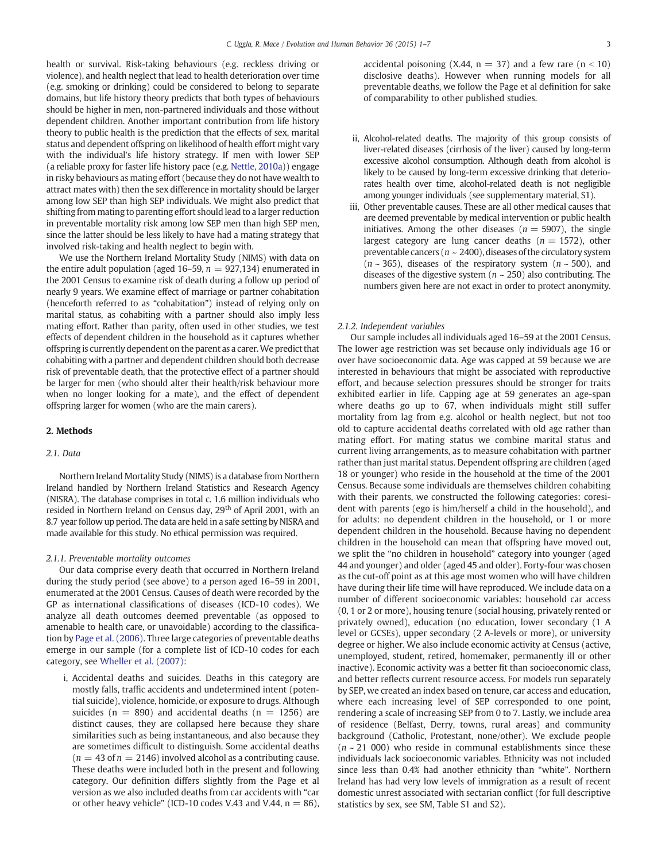health or survival. Risk-taking behaviours (e.g. reckless driving or violence), and health neglect that lead to health deterioration over time (e.g. smoking or drinking) could be considered to belong to separate domains, but life history theory predicts that both types of behaviours should be higher in men, non-partnered individuals and those without dependent children. Another important contribution from life history theory to public health is the prediction that the effects of sex, marital status and dependent offspring on likelihood of health effort might vary with the individual's life history strategy. If men with lower SEP (a reliable proxy for faster life history pace (e.g. [Nettle, 2010a](#page-6-0))) engage in risky behaviours as mating effort (because they do not have wealth to attract mates with) then the sex difference in mortality should be larger among low SEP than high SEP individuals. We might also predict that shifting from mating to parenting effort should lead to a larger reduction in preventable mortality risk among low SEP men than high SEP men, since the latter should be less likely to have had a mating strategy that involved risk-taking and health neglect to begin with.

We use the Northern Ireland Mortality Study (NIMS) with data on the entire adult population (aged 16–59,  $n = 927,134$ ) enumerated in the 2001 Census to examine risk of death during a follow up period of nearly 9 years. We examine effect of marriage or partner cohabitation (henceforth referred to as "cohabitation") instead of relying only on marital status, as cohabiting with a partner should also imply less mating effort. Rather than parity, often used in other studies, we test effects of dependent children in the household as it captures whether offspring is currently dependent on the parent as a carer.We predict that cohabiting with a partner and dependent children should both decrease risk of preventable death, that the protective effect of a partner should be larger for men (who should alter their health/risk behaviour more when no longer looking for a mate), and the effect of dependent offspring larger for women (who are the main carers).

# 2. Methods

# 2.1. Data

Northern Ireland Mortality Study (NIMS) is a database from Northern Ireland handled by Northern Ireland Statistics and Research Agency (NISRA). The database comprises in total c. 1.6 million individuals who resided in Northern Ireland on Census day, 29<sup>th</sup> of April 2001, with an 8.7 year follow up period. The data are held in a safe setting by NISRA and made available for this study. No ethical permission was required.

# 2.1.1. Preventable mortality outcomes

Our data comprise every death that occurred in Northern Ireland during the study period (see above) to a person aged 16–59 in 2001, enumerated at the 2001 Census. Causes of death were recorded by the GP as international classifications of diseases (ICD-10 codes). We analyze all death outcomes deemed preventable (as opposed to amenable to health care, or unavoidable) according to the classification by [Page et al. \(2006\).](#page-6-0) Three large categories of preventable deaths emerge in our sample (for a complete list of ICD-10 codes for each category, see [Wheller et al. \(2007\):](#page-6-0)

i, Accidental deaths and suicides. Deaths in this category are mostly falls, traffic accidents and undetermined intent (potential suicide), violence, homicide, or exposure to drugs. Although suicides ( $n = 890$ ) and accidental deaths ( $n = 1256$ ) are distinct causes, they are collapsed here because they share similarities such as being instantaneous, and also because they are sometimes difficult to distinguish. Some accidental deaths  $(n = 43$  of  $n = 2146$ ) involved alcohol as a contributing cause. These deaths were included both in the present and following category. Our definition differs slightly from the Page et al version as we also included deaths from car accidents with "car or other heavy vehicle" (ICD-10 codes V.43 and V.44,  $n = 86$ ), accidental poisoning (X.44,  $n = 37$ ) and a few rare ( $n < 10$ ) disclosive deaths). However when running models for all preventable deaths, we follow the Page et al definition for sake of comparability to other published studies.

- ii, Alcohol-related deaths. The majority of this group consists of liver-related diseases (cirrhosis of the liver) caused by long-term excessive alcohol consumption. Although death from alcohol is likely to be caused by long-term excessive drinking that deteriorates health over time, alcohol-related death is not negligible among younger individuals (see supplementary material, S1).
- iii, Other preventable causes. These are all other medical causes that are deemed preventable by medical intervention or public health initiatives. Among the other diseases ( $n = 5907$ ), the single largest category are lung cancer deaths ( $n = 1572$ ), other preventable cancers ( $n \sim 2400$ ), diseases of the circulatory system  $(n \sim 365)$ , diseases of the respiratory system  $(n \sim 500)$ , and diseases of the digestive system ( $n \sim 250$ ) also contributing. The numbers given here are not exact in order to protect anonymity.

#### 2.1.2. Independent variables

Our sample includes all individuals aged 16–59 at the 2001 Census. The lower age restriction was set because only individuals age 16 or over have socioeconomic data. Age was capped at 59 because we are interested in behaviours that might be associated with reproductive effort, and because selection pressures should be stronger for traits exhibited earlier in life. Capping age at 59 generates an age-span where deaths go up to 67, when individuals might still suffer mortality from lag from e.g. alcohol or health neglect, but not too old to capture accidental deaths correlated with old age rather than mating effort. For mating status we combine marital status and current living arrangements, as to measure cohabitation with partner rather than just marital status. Dependent offspring are children (aged 18 or younger) who reside in the household at the time of the 2001 Census. Because some individuals are themselves children cohabiting with their parents, we constructed the following categories: coresident with parents (ego is him/herself a child in the household), and for adults: no dependent children in the household, or 1 or more dependent children in the household. Because having no dependent children in the household can mean that offspring have moved out, we split the "no children in household" category into younger (aged 44 and younger) and older (aged 45 and older). Forty-four was chosen as the cut-off point as at this age most women who will have children have during their life time will have reproduced. We include data on a number of different socioeconomic variables: household car access (0, 1 or 2 or more), housing tenure (social housing, privately rented or privately owned), education (no education, lower secondary (1 A level or GCSEs), upper secondary (2 A-levels or more), or university degree or higher. We also include economic activity at Census (active, unemployed, student, retired, homemaker, permanently ill or other inactive). Economic activity was a better fit than socioeconomic class, and better reflects current resource access. For models run separately by SEP, we created an index based on tenure, car access and education, where each increasing level of SEP corresponded to one point, rendering a scale of increasing SEP from 0 to 7. Lastly, we include area of residence (Belfast, Derry, towns, rural areas) and community background (Catholic, Protestant, none/other). We exclude people  $(n \sim 21,000)$  who reside in communal establishments since these individuals lack socioeconomic variables. Ethnicity was not included since less than 0.4% had another ethnicity than "white". Northern Ireland has had very low levels of immigration as a result of recent domestic unrest associated with sectarian conflict (for full descriptive statistics by sex, see SM, Table S1 and S2).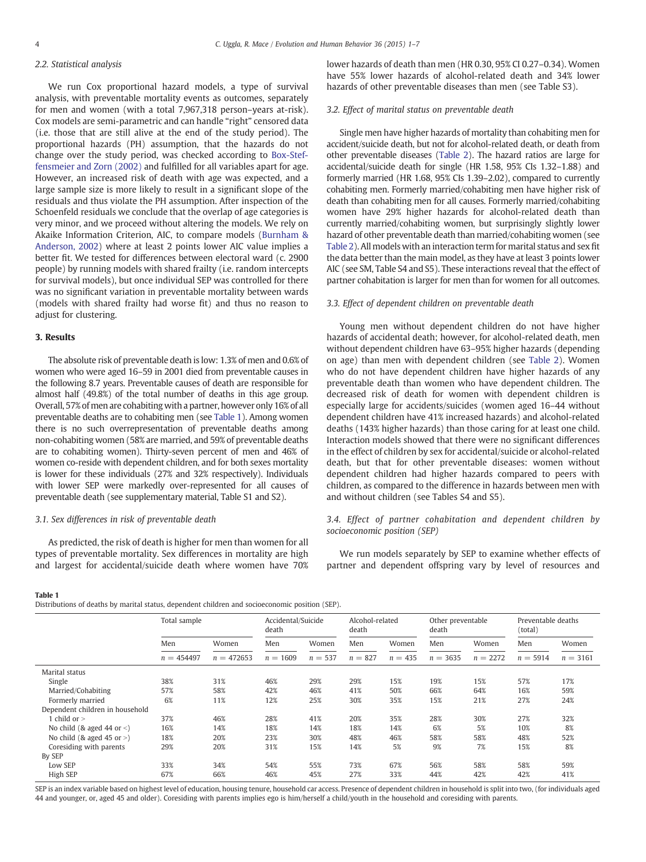# 2.2. Statistical analysis

We run Cox proportional hazard models, a type of survival analysis, with preventable mortality events as outcomes, separately for men and women (with a total 7,967,318 person–years at-risk). Cox models are semi-parametric and can handle "right" censored data (i.e. those that are still alive at the end of the study period). The proportional hazards (PH) assumption, that the hazards do not change over the study period, was checked according to [Box-Stef](#page-6-0)[fensmeier and Zorn \(2002\)](#page-6-0) and fulfilled for all variables apart for age. However, an increased risk of death with age was expected, and a large sample size is more likely to result in a significant slope of the residuals and thus violate the PH assumption. After inspection of the Schoenfeld residuals we conclude that the overlap of age categories is very minor, and we proceed without altering the models. We rely on Akaike Information Criterion, AIC, to compare models [\(Burnham &](#page-6-0) [Anderson, 2002\)](#page-6-0) where at least 2 points lower AIC value implies a better fit. We tested for differences between electoral ward (c. 2900 people) by running models with shared frailty (i.e. random intercepts for survival models), but once individual SEP was controlled for there was no significant variation in preventable mortality between wards (models with shared frailty had worse fit) and thus no reason to adjust for clustering.

# 3. Results

The absolute risk of preventable death is low: 1.3% of men and 0.6% of women who were aged 16–59 in 2001 died from preventable causes in the following 8.7 years. Preventable causes of death are responsible for almost half (49.8%) of the total number of deaths in this age group. Overall, 57% of men are cohabiting with a partner, however only 16% of all preventable deaths are to cohabiting men (see Table 1). Among women there is no such overrepresentation of preventable deaths among non-cohabiting women (58% are married, and 59% of preventable deaths are to cohabiting women). Thirty-seven percent of men and 46% of women co-reside with dependent children, and for both sexes mortality is lower for these individuals (27% and 32% respectively). Individuals with lower SEP were markedly over-represented for all causes of preventable death (see supplementary material, Table S1 and S2).

# 3.1. Sex differences in risk of preventable death

As predicted, the risk of death is higher for men than women for all types of preventable mortality. Sex differences in mortality are high and largest for accidental/suicide death where women have 70% lower hazards of death than men (HR 0.30, 95% CI 0.27–0.34). Women have 55% lower hazards of alcohol-related death and 34% lower hazards of other preventable diseases than men (see Table S3).

### 3.2. Effect of marital status on preventable death

Single men have higher hazards of mortality than cohabiting men for accident/suicide death, but not for alcohol-related death, or death from other preventable diseases [\(Table 2\)](#page-4-0). The hazard ratios are large for accidental/suicide death for single (HR 1.58, 95% CIs 1.32–1.88) and formerly married (HR 1.68, 95% CIs 1.39–2.02), compared to currently cohabiting men. Formerly married/cohabiting men have higher risk of death than cohabiting men for all causes. Formerly married/cohabiting women have 29% higher hazards for alcohol-related death than currently married/cohabiting women, but surprisingly slightly lower hazard of other preventable death than married/cohabiting women (see [Table 2](#page-4-0)). All models with an interaction term for marital status and sex fit the data better than the main model, as they have at least 3 points lower AIC (see SM, Table S4 and S5). These interactions reveal that the effect of partner cohabitation is larger for men than for women for all outcomes.

# 3.3. Effect of dependent children on preventable death

Young men without dependent children do not have higher hazards of accidental death; however, for alcohol-related death, men without dependent children have 63–95% higher hazards (depending on age) than men with dependent children (see [Table 2\)](#page-4-0). Women who do not have dependent children have higher hazards of any preventable death than women who have dependent children. The decreased risk of death for women with dependent children is especially large for accidents/suicides (women aged 16–44 without dependent children have 41% increased hazards) and alcohol-related deaths (143% higher hazards) than those caring for at least one child. Interaction models showed that there were no significant differences in the effect of children by sex for accidental/suicide or alcohol-related death, but that for other preventable diseases: women without dependent children had higher hazards compared to peers with children, as compared to the difference in hazards between men with and without children (see Tables S4 and S5).

# 3.4. Effect of partner cohabitation and dependent children by socioeconomic position (SEP)

We run models separately by SEP to examine whether effects of partner and dependent offspring vary by level of resources and

#### Table 1

Distributions of deaths by marital status, dependent children and socioeconomic position (SEP).

|                                  | Total sample        |                       | Accidental/Suicide<br>death |                    | Alcohol-related<br>death |                    | Other preventable<br>death |                     | Preventable deaths<br>(total) |                     |
|----------------------------------|---------------------|-----------------------|-----------------------------|--------------------|--------------------------|--------------------|----------------------------|---------------------|-------------------------------|---------------------|
|                                  | Men<br>$n = 454497$ | Women<br>$n = 472653$ | Men<br>$n = 1609$           | Women<br>$n = 537$ | Men<br>$n = 827$         | Women<br>$n = 435$ | Men<br>$n = 3635$          | Women<br>$n = 2272$ | Men<br>$n = 5914$             | Women<br>$n = 3161$ |
|                                  |                     |                       |                             |                    |                          |                    |                            |                     |                               |                     |
| Marital status                   |                     |                       |                             |                    |                          |                    |                            |                     |                               |                     |
| Single                           | 38%                 | 31%                   | 46%                         | 29%                | 29%                      | 15%                | 19%                        | 15%                 | 57%                           | 17%                 |
| Married/Cohabiting               | 57%                 | 58%                   | 42%                         | 46%                | 41%                      | 50%                | 66%                        | 64%                 | 16%                           | 59%                 |
| Formerly married                 | 6%                  | 11%                   | 12%                         | 25%                | 30%                      | 35%                | 15%                        | 21%                 | 27%                           | 24%                 |
| Dependent children in household  |                     |                       |                             |                    |                          |                    |                            |                     |                               |                     |
| 1 child or $>$                   | 37%                 | 46%                   | 28%                         | 41%                | 20%                      | 35%                | 28%                        | 30%                 | 27%                           | 32%                 |
| No child (& aged 44 or $\leq$ )  | 16%                 | 14%                   | 18%                         | 14%                | 18%                      | 14%                | 6%                         | 5%                  | 10%                           | 8%                  |
| No child ( $\&$ aged 45 or $>$ ) | 18%                 | 20%                   | 23%                         | 30%                | 48%                      | 46%                | 58%                        | 58%                 | 48%                           | 52%                 |
| Coresiding with parents          | 29%                 | 20%                   | 31%                         | 15%                | 14%                      | 5%                 | 9%                         | 7%                  | 15%                           | 8%                  |
| By SEP                           |                     |                       |                             |                    |                          |                    |                            |                     |                               |                     |
| Low SEP                          | 33%                 | 34%                   | 54%                         | 55%                | 73%                      | 67%                | 56%                        | 58%                 | 58%                           | 59%                 |
| High SEP                         | 67%                 | 66%                   | 46%                         | 45%                | 27%                      | 33%                | 44%                        | 42%                 | 42%                           | 41%                 |

SEP is an index variable based on highest level of education, housing tenure, household car access. Presence of dependent children in household is split into two, (for individuals aged 44 and younger, or, aged 45 and older). Coresiding with parents implies ego is him/herself a child/youth in the household and coresiding with parents.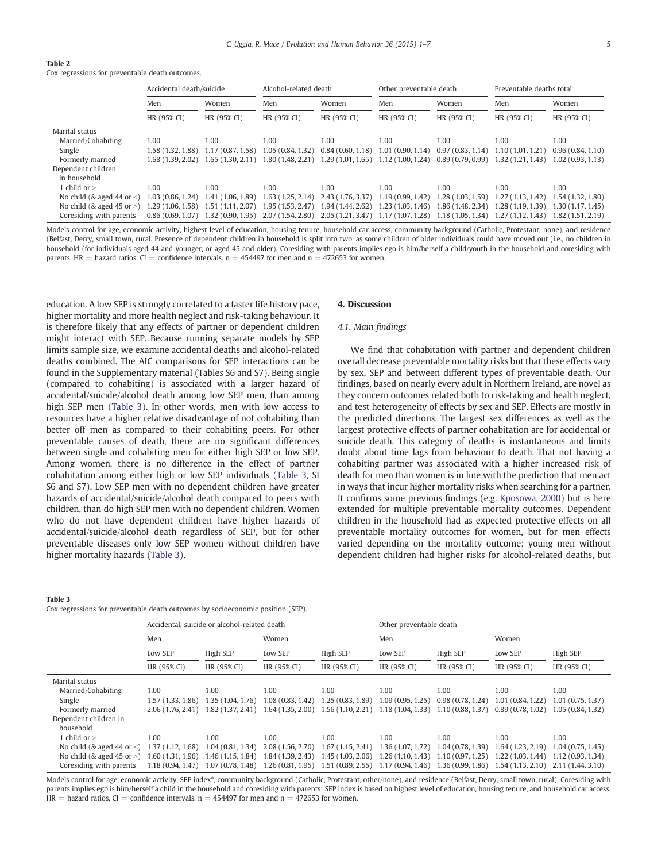#### <span id="page-4-0"></span>Table 2

Cox regressions for preventable death outcomes.

|                                   | Accidental death/suicide |                  | Alcohol-related death |                                                          | Other preventable death |                  | Preventable deaths total |                  |  |
|-----------------------------------|--------------------------|------------------|-----------------------|----------------------------------------------------------|-------------------------|------------------|--------------------------|------------------|--|
|                                   | Men                      | Women<br>Men     |                       | Women                                                    | Men                     | Women            | Men                      | Women            |  |
|                                   | HR (95% CI)              | HR (95% CI)      | HR (95% CI)           | HR (95% CI)                                              | HR (95% CI)             | HR (95% CI)      | HR (95% CI)              | HR (95% CI)      |  |
| Marital status                    |                          |                  |                       |                                                          |                         |                  |                          |                  |  |
| Married/Cohabiting                | 1.00                     | 1.00             | 1.00                  | 1.00                                                     | 1.00                    | 1.00             | 1.00                     | 1.00             |  |
| Single                            | 1.58 (1.32. 1.88)        | 1.17(0.87, 1.58) | 1.05(0.84, 1.32)      | 0.84(0.60, 1.18)                                         | 1.01(0.90, 1.14)        | 0.97(0.83, 1.14) | 1.10(1.01, 1.21)         | 0.96(0.84, 1.10) |  |
| Formerly married                  | 1.68 (1.39, 2.02)        | 1.65(1.30, 2.11) | 1.80(1.48, 2.21)      | 1.29(1.01, 1.65)                                         | 1.12(1.00, 1.24)        | 0.89(0.79, 0.99) | 1.32(1.21, 1.43)         | 1.02(0.93, 1.13) |  |
| Dependent children                |                          |                  |                       |                                                          |                         |                  |                          |                  |  |
| in household                      |                          |                  |                       |                                                          |                         |                  |                          |                  |  |
| 1 child or $>$                    | 1.00                     | 1.00             | 1.00                  | 1.00                                                     | 1.00                    | 1.00             | 1.00                     | 1.00             |  |
| No child ( $\&$ aged 44 or $\&$ ) | 1.03 (0.86, 1.24)        | 1.41(1.06, 1.89) | 1.63(1.25, 2.14)      | 2.43 (1.76, 3.37)                                        | 1.19(0.99, 1.42)        | 1.28(1.03, 1.59) | 1.27(1.13, 1.42)         | .54 (1.32, 1.80) |  |
| No child ( $\&$ aged 45 or $>$ )  | 1.29 (1.06, 1.58)        | 1.51(1.11, 2.07) | 1.95(1.53, 2.47)      | 1.94 (1.44, 2.62)                                        | 1.23(1.03, 1.46)        | 1.86(1.48, 2.34) | 1.28(1.19.1.39)          | .30(1.17, 1.45)  |  |
| Coresiding with parents           | 0.86(0.69, 1.07)         | 1.32(0.90, 1.95) |                       | $2.07(1.54, 2.80)$ $2.05(1.21, 3.47)$ $1.17(1.07, 1.28)$ |                         | 1.18(1.05, 1.34) | 1.27(1.12, 1.43)         | .82 (1.51, 2.19) |  |

Models control for age, economic activity, highest level of education, housing tenure, household car access, community background (Catholic, Protestant, none), and residence (Belfast, Derry, small town, rural. Presence of dependent children in household is split into two, as some children of older individuals could have moved out (i.e., no children in household (for individuals aged 44 and younger, or aged 45 and older). Coresiding with parents implies ego is him/herself a child/youth in the household and coresiding with parents. HR = hazard ratios, CI = confidence intervals.  $n = 454497$  for men and  $n = 472653$  for women.

education. A low SEP is strongly correlated to a faster life history pace, higher mortality and more health neglect and risk-taking behaviour. It is therefore likely that any effects of partner or dependent children might interact with SEP. Because running separate models by SEP limits sample size, we examine accidental deaths and alcohol-related deaths combined. The AIC comparisons for SEP interactions can be found in the Supplementary material (Tables S6 and S7). Being single (compared to cohabiting) is associated with a larger hazard of accidental/suicide/alcohol death among low SEP men, than among high SEP men (Table 3). In other words, men with low access to resources have a higher relative disadvantage of not cohabiting than better off men as compared to their cohabiting peers. For other preventable causes of death, there are no significant differences between single and cohabiting men for either high SEP or low SEP. Among women, there is no difference in the effect of partner cohabitation among either high or low SEP individuals (Table 3, SI S6 and S7). Low SEP men with no dependent children have greater hazards of accidental/suicide/alcohol death compared to peers with children, than do high SEP men with no dependent children. Women who do not have dependent children have higher hazards of accidental/suicide/alcohol death regardless of SEP, but for other preventable diseases only low SEP women without children have higher mortality hazards (Table 3).

# 4. Discussion

# 4.1. Main findings

We find that cohabitation with partner and dependent children overall decrease preventable mortality risks but that these effects vary by sex, SEP and between different types of preventable death. Our findings, based on nearly every adult in Northern Ireland, are novel as they concern outcomes related both to risk-taking and health neglect, and test heterogeneity of effects by sex and SEP. Effects are mostly in the predicted directions. The largest sex differences as well as the largest protective effects of partner cohabitation are for accidental or suicide death. This category of deaths is instantaneous and limits doubt about time lags from behaviour to death. That not having a cohabiting partner was associated with a higher increased risk of death for men than women is in line with the prediction that men act in ways that incur higher mortality risks when searching for a partner. It confirms some previous findings (e.g. [Kposowa, 2000\)](#page-6-0) but is here extended for multiple preventable mortality outcomes. Dependent children in the household had as expected protective effects on all preventable mortality outcomes for women, but for men effects varied depending on the mortality outcome: young men without dependent children had higher risks for alcohol-related deaths, but

### Table 3

Cox regressions for preventable death outcomes by socioeconomic position (SEP).

|                                  |                   | Accidental, suicide or alcohol-related death |                   |                                                          | Other preventable death                                  |                   |                  |                                       |  |
|----------------------------------|-------------------|----------------------------------------------|-------------------|----------------------------------------------------------|----------------------------------------------------------|-------------------|------------------|---------------------------------------|--|
|                                  | Men               |                                              | Women             |                                                          | Men                                                      |                   | Women            |                                       |  |
|                                  | Low SEP           | High SEP                                     | Low SEP           | High SEP<br>Low SEP                                      |                                                          | High SEP          | Low SEP          | High SEP                              |  |
|                                  | HR (95% CI)       | HR (95% CI)                                  | HR (95% CI)       | HR (95% CI)                                              | HR (95% CI)                                              | HR (95% CI)       | HR (95% CI)      | HR (95% CI)                           |  |
| Marital status                   |                   |                                              |                   |                                                          |                                                          |                   |                  |                                       |  |
| Married/Cohabiting               | 1.00              | 1.00                                         | 1.00              | 1.00                                                     | 1.00                                                     | 1.00              | 1.00             | 1.00                                  |  |
| Single                           | 1.57 (1.33, 1.86) | 1.35(1.04, 1.76)                             | 1.08(0.83, 1.42)  | 1.25(0.83, 1.89)                                         | 1.09(0.95, 1.25)                                         | 0.98(0.78, 1.24)  | 1.01(0.84, 1.22) | 1.01(0.75, 1.37)                      |  |
| Formerly married                 | 2.06 (1.76, 2.41) | 1.82(1.37, 2.41)                             | 1.64(1.35, 2.00)  |                                                          | $1.56(1.10, 2.21)$ $1.18(1.04, 1.33)$ $1.10(0.88, 1.37)$ |                   | 0.89(0.78, 1.02) | 1.05(0.84, 1.32)                      |  |
| Dependent children in            |                   |                                              |                   |                                                          |                                                          |                   |                  |                                       |  |
| household                        |                   |                                              |                   |                                                          |                                                          |                   |                  |                                       |  |
| 1 child or $>$                   | 1.00              | 1.00                                         | 1.00              | 1.00                                                     | 1.00                                                     | 1.00              | 1.00             | 1.00                                  |  |
| No child (& aged 44 or $\lt$ )   | 1.37 (1.12, 1.68) | 1.04(0.81, 1.34)                             | 2.08(1.56, 2.70)  |                                                          | $1.67(1.15, 2.41)$ $1.36(1.07, 1.72)$                    | 1.04(0.78, 1.39)  | 1.64(1.23, 2.19) | 1.04(0.75, 1.45)                      |  |
| No child ( $\&$ aged 45 or $>$ ) | 1.60(1.31, 1.96)  | 1.46(1.15, 1.84)                             | 1.84 (1.39, 2.43) | 1,45(1,03, 2,06)                                         | $1,26(1,10,1.43)$ $1,10(0.97,1.25)$                      |                   | 1.22(1.03, 1.44) | 1.12(0.93, 1.34)                      |  |
| Coresiding with parents          | 1.18(0.94, 1.47)  | 1.07(0.78, 1.48)                             |                   | $1.26(0.81, 1.95)$ $1.51(0.89, 2.55)$ $1.17(0.94, 1.46)$ |                                                          | 1.36 (0.99, 1.86) |                  | $1.54(1.13, 2.10)$ $2.11(1.44, 3.10)$ |  |

Models control for age, economic activity, SEP index\*, community background (Catholic, Protestant, other/none), and residence (Belfast, Derry, small town, rural). Coresiding with parents implies ego is him/herself a child in the household and coresiding with parents; SEP index is based on highest level of education, housing tenure, and household car access.  $HR =$  hazard ratios,  $CI =$  confidence intervals. n = 454497 for men and n = 472653 for women.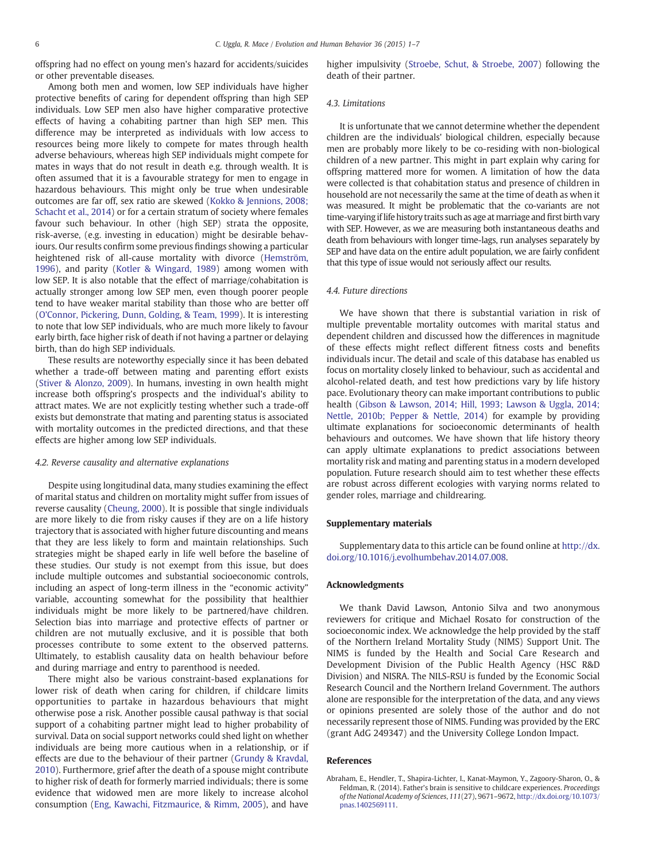<span id="page-5-0"></span>offspring had no effect on young men's hazard for accidents/suicides or other preventable diseases.

Among both men and women, low SEP individuals have higher protective benefits of caring for dependent offspring than high SEP individuals. Low SEP men also have higher comparative protective effects of having a cohabiting partner than high SEP men. This difference may be interpreted as individuals with low access to resources being more likely to compete for mates through health adverse behaviours, whereas high SEP individuals might compete for mates in ways that do not result in death e.g. through wealth. It is often assumed that it is a favourable strategy for men to engage in hazardous behaviours. This might only be true when undesirable outcomes are far off, sex ratio are skewed [\(Kokko & Jennions, 2008;](#page-6-0) [Schacht et al., 2014](#page-6-0)) or for a certain stratum of society where females favour such behaviour. In other (high SEP) strata the opposite, risk-averse, (e.g. investing in education) might be desirable behaviours. Our results confirm some previous findings showing a particular heightened risk of all-cause mortality with divorce ([Hemström,](#page-6-0) [1996\)](#page-6-0), and parity ([Kotler & Wingard, 1989\)](#page-6-0) among women with low SEP. It is also notable that the effect of marriage/cohabitation is actually stronger among low SEP men, even though poorer people tend to have weaker marital stability than those who are better off (O'[Connor, Pickering, Dunn, Golding, & Team, 1999](#page-6-0)). It is interesting to note that low SEP individuals, who are much more likely to favour early birth, face higher risk of death if not having a partner or delaying birth, than do high SEP individuals.

These results are noteworthy especially since it has been debated whether a trade-off between mating and parenting effort exists ([Stiver & Alonzo, 2009](#page-6-0)). In humans, investing in own health might increase both offspring's prospects and the individual's ability to attract mates. We are not explicitly testing whether such a trade-off exists but demonstrate that mating and parenting status is associated with mortality outcomes in the predicted directions, and that these effects are higher among low SEP individuals.

# 4.2. Reverse causality and alternative explanations

Despite using longitudinal data, many studies examining the effect of marital status and children on mortality might suffer from issues of reverse causality ([Cheung, 2000\)](#page-6-0). It is possible that single individuals are more likely to die from risky causes if they are on a life history trajectory that is associated with higher future discounting and means that they are less likely to form and maintain relationships. Such strategies might be shaped early in life well before the baseline of these studies. Our study is not exempt from this issue, but does include multiple outcomes and substantial socioeconomic controls, including an aspect of long-term illness in the "economic activity" variable, accounting somewhat for the possibility that healthier individuals might be more likely to be partnered/have children. Selection bias into marriage and protective effects of partner or children are not mutually exclusive, and it is possible that both processes contribute to some extent to the observed patterns. Ultimately, to establish causality data on health behaviour before and during marriage and entry to parenthood is needed.

There might also be various constraint-based explanations for lower risk of death when caring for children, if childcare limits opportunities to partake in hazardous behaviours that might otherwise pose a risk. Another possible causal pathway is that social support of a cohabiting partner might lead to higher probability of survival. Data on social support networks could shed light on whether individuals are being more cautious when in a relationship, or if effects are due to the behaviour of their partner ([Grundy & Kravdal,](#page-6-0) [2010\)](#page-6-0). Furthermore, grief after the death of a spouse might contribute to higher risk of death for formerly married individuals; there is some evidence that widowed men are more likely to increase alcohol consumption ([Eng, Kawachi, Fitzmaurice, & Rimm, 2005](#page-6-0)), and have higher impulsivity ([Stroebe, Schut, & Stroebe, 2007\)](#page-6-0) following the death of their partner.

# 4.3. Limitations

It is unfortunate that we cannot determine whether the dependent children are the individuals' biological children, especially because men are probably more likely to be co-residing with non-biological children of a new partner. This might in part explain why caring for offspring mattered more for women. A limitation of how the data were collected is that cohabitation status and presence of children in household are not necessarily the same at the time of death as when it was measured. It might be problematic that the co-variants are not time-varying if life history traits such as age at marriage and first birth vary with SEP. However, as we are measuring both instantaneous deaths and death from behaviours with longer time-lags, run analyses separately by SEP and have data on the entire adult population, we are fairly confident that this type of issue would not seriously affect our results.

# 4.4. Future directions

We have shown that there is substantial variation in risk of multiple preventable mortality outcomes with marital status and dependent children and discussed how the differences in magnitude of these effects might reflect different fitness costs and benefits individuals incur. The detail and scale of this database has enabled us focus on mortality closely linked to behaviour, such as accidental and alcohol-related death, and test how predictions vary by life history pace. Evolutionary theory can make important contributions to public health [\(Gibson & Lawson, 2014; Hill, 1993; Lawson & Uggla, 2014;](#page-6-0) [Nettle, 2010b; Pepper & Nettle, 2014](#page-6-0)) for example by providing ultimate explanations for socioeconomic determinants of health behaviours and outcomes. We have shown that life history theory can apply ultimate explanations to predict associations between mortality risk and mating and parenting status in a modern developed population. Future research should aim to test whether these effects are robust across different ecologies with varying norms related to gender roles, marriage and childrearing.

## Supplementary materials

Supplementary data to this article can be found online at [http://dx.](http://dx.doi.org/10.1016/j.evolhumbehav.2014.07.008) [doi.org/10.1016/j.evolhumbehav.2014.07.008](http://dx.doi.org/10.1016/j.evolhumbehav.2014.07.008).

# Acknowledgments

We thank David Lawson, Antonio Silva and two anonymous reviewers for critique and Michael Rosato for construction of the socioeconomic index. We acknowledge the help provided by the staff of the Northern Ireland Mortality Study (NIMS) Support Unit. The NIMS is funded by the Health and Social Care Research and Development Division of the Public Health Agency (HSC R&D Division) and NISRA. The NILS-RSU is funded by the Economic Social Research Council and the Northern Ireland Government. The authors alone are responsible for the interpretation of the data, and any views or opinions presented are solely those of the author and do not necessarily represent those of NIMS. Funding was provided by the ERC (grant AdG 249347) and the University College London Impact.

# References

Abraham, E., Hendler, T., Shapira-Lichter, I., Kanat-Maymon, Y., Zagoory-Sharon, O., & Feldman, R. (2014). Father's brain is sensitive to childcare experiences. Proceedings of the National Academy of Sciences, 111(27), 9671–9672, http://dx.doi.org/[10.1073/](http://dx.doi.org/10.1073/pnas.1402569111) [pnas.1402569111](http://dx.doi.org/10.1073/pnas.1402569111).